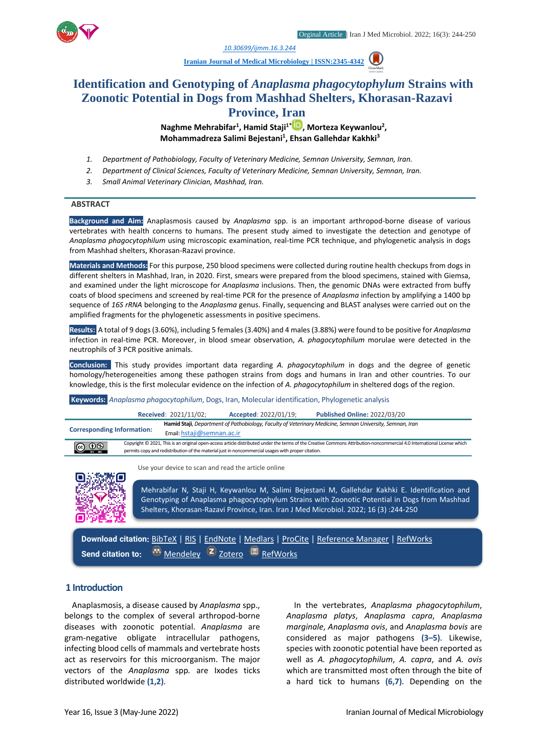

*1. [10.30699/ijmm.16.3.244](http://dx.doi.org/10.30699/ijmm.16.3.250)*

**[Iranian Journal of Medical Microbiology |](https://ijmm.ir/) ISSN:2345-4342**

# **Identification and Genotyping of** *Anaplasma phagocytophylum* **Strains with Zoonotic Potential in Dogs from Mashhad Shelters, Khorasan-Razavi Province, Iran**

**Naghme Mehrabifar<sup>1</sup> , Hamid Staji1[\\*](http://orcid.org/0000000334067361) , Morteza Keywanlou<sup>2</sup> , Mohammadreza Salimi Bejestani<sup>1</sup> , Ehsan Gallehdar Kakhki<sup>3</sup>**

- *1. Department of Pathobiology, Faculty of Veterinary Medicine, Semnan University, Semnan, Iran.*
- *2. Department of Clinical Sciences, Faculty of Veterinary Medicine, Semnan University, Semnan, Iran.*
- *3. Small Animal Veterinary Clinician, Mashhad, Iran.*

#### **ABSTRACT**

**Background and Aim:** Anaplasmosis caused by *Anaplasma* spp. is an important arthropod-borne disease of various vertebrates with health concerns to humans. The present study aimed to investigate the detection and genotype of *Anaplasma phagocytophilum* using microscopic examination, real-time PCR technique, and phylogenetic analysis in dogs from Mashhad shelters, Khorasan-Razavi province.

**Materials and Methods:** For this purpose, 250 blood specimens were collected during routine health checkups from dogs in different shelters in Mashhad, Iran, in 2020. First, smears were prepared from the blood specimens, stained with Giemsa, and examined under the light microscope for *Anaplasma* inclusions. Then, the genomic DNAs were extracted from buffy coats of blood specimens and screened by real-time PCR for the presence of *Anaplasma* infection by amplifying a 1400 bp sequence of *16S rRNA* belonging to the *Anaplasma* genus. Finally, sequencing and BLAST analyses were carried out on the amplified fragments for the phylogenetic assessments in positive specimens.

**Results:** A total of 9 dogs (3.60%), including 5 females (3.40%) and 4 males (3.88%) were found to be positive for *Anaplasma*  infection in real-time PCR. Moreover, in blood smear observation, *A. phagocytophilum* morulae were detected in the neutrophils of 3 PCR positive animals.

**Conclusion:** This study provides important data regarding *A. phagocytophilum* in dogs and the degree of genetic homology/heterogeneities among these pathogen strains from dogs and humans in Iran and other countries. To our knowledge, this is the first molecular evidence on the infection of *A. phagocytophilum* in sheltered dogs of the region.

#### **Keywords:** *Anaplasma phagocytophilum*, Dogs, Iran, Molecular identification, Phylogenetic analysis

|                                   |                                                                                                                                                                                                                                                                               | <b>Received: 2021/11/02;</b>                                                                                                           | Accepted: 2022/01/19; | <b>Published Online: 2022/03/20</b> |
|-----------------------------------|-------------------------------------------------------------------------------------------------------------------------------------------------------------------------------------------------------------------------------------------------------------------------------|----------------------------------------------------------------------------------------------------------------------------------------|-----------------------|-------------------------------------|
| <b>Corresponding Information:</b> |                                                                                                                                                                                                                                                                               | Hamid Staji, Department of Pathobiology, Faculty of Veterinary Medicine, Semnan University, Semnan, Iran<br>Email: hstaji@semnan.ac.ir |                       |                                     |
| $\bigcirc$ $\bigcirc$             | Copyright © 2021, This is an original open-access article distributed under the terms of the Creative Commons Attribution-noncommercial 4.0 International License which<br>permits copy and redistribution of the material just in noncommercial usages with proper citation. |                                                                                                                                        |                       |                                     |



Use your device to scan and read the article online

Mehrabifar N, Staji H, Keywanlou M, Salimi Bejestani M, Gallehdar Kakhki E. Identification and Genotyping of Anaplasma phagocytophylum Strains with Zoonotic Potential in Dogs from Mashhad Shelters, Khorasan-Razavi Province, Iran. Iran J Med Microbiol. 2022; 16 (3) :244-250

**Download citation:** [BibTeX](https://ijmm.ir/web2export.php?a_code=A-10-544-1&sid=1&slc_lang=en&type=BibTeX) | [RIS](https://ijmm.ir/web2export.php?a_code=A-10-544-1&sid=1&slc_lang=en&type=ris) | [EndNote](https://ijmm.ir/web2export.php?a_code=A-10-544-1&sid=1&slc_lang=en&type=EndNote) | [Medlars](https://ijmm.ir/web2export.php?a_code=A-10-544-1&sid=1&slc_lang=en&type=Medlars) | [ProCite](https://ijmm.ir/web2export.php?a_code=A-10-544-1&sid=1&slc_lang=en&type=ProCite) | [Reference Manager](https://ijmm.ir/web2export.php?a_code=A-10-544-1&sid=1&slc_lang=en&type=Reference_Manager) | [RefWorks](https://ijmm.ir/web2export.php?a_code=A-10-544-1&sid=1&slc_lang=en&type=RefWorks) Send citation to: **[Mendeley](http://www.mendeley.com/import/?url=https://ijmm.ir/article-1-1536-en.html) Z** [Zotero](https://ijmm.ir/web2export.php?a_code=A-10-544-1&sid=1&slc_lang=en&type=ris) **E** [RefWorks](http://www.refworks.com/express/ExpressImport.asp?vendor=Iran-J-Med-Microbiol&filter=RefWorks%20Tagged%20Format&encoding=65001&url=http%3A%2F%2Fijmm.ir%2Farticle-1-1536-en.html)

#### **1 Introduction**

Anaplasmosis, a disease caused by *Anaplasma* spp., belongs to the complex of several arthropod-borne diseases with zoonotic potential. *Anaplasma* are gram-negative obligate intracellular pathogens, infecting blood cells of mammals and vertebrate hosts act as reservoirs for this microorganism. The major vectors of the *Anaplasma* spp*.* are Ixodes ticks distributed worldwide **(1,2)**.

In the vertebrates, *Anaplasma phagocytophilum*, *Anaplasma platys*, *Anaplasma capra*, *Anaplasma marginale*, *Anaplasma ovis*, and *Anaplasma bovis* are considered as major pathogens **(3–5)**. Likewise, species with zoonotic potential have been reported as well as *A. phagocytophilum*, *A. capra*, and *A. ovis* which are transmitted most often through the bite of a hard tick to humans **(6,7)**. Depending on the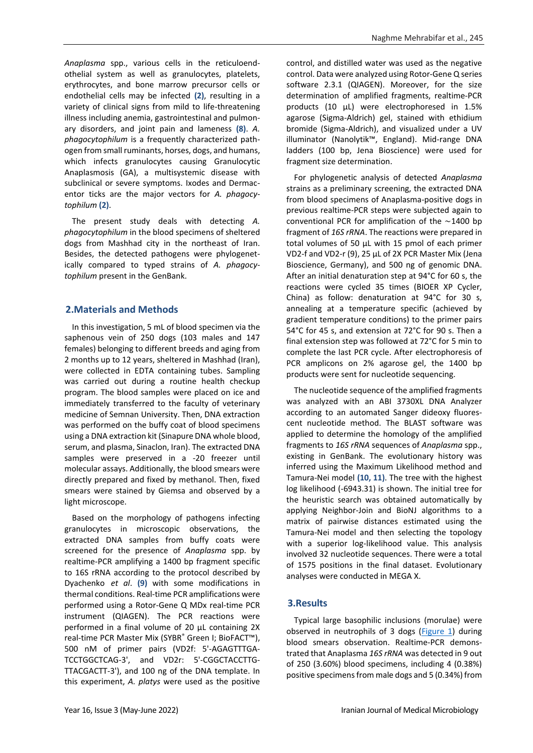*Anaplasma* spp., various cells in the reticuloendothelial system as well as granulocytes, platelets, erythrocytes, and bone marrow precursor cells or endothelial cells may be infected **(2)**, resulting in a variety of clinical signs from mild to life-threatening illness including anemia, gastrointestinal and pulmonary disorders, and joint pain and lameness **(8)**. *A. phagocytophilum* is a frequently characterized pathogen from small ruminants, horses, dogs, and humans, which infects granulocytes causing Granulocytic Anaplasmosis (GA), a multisystemic disease with subclinical or severe symptoms. Ixodes and Dermacentor ticks are the major vectors for *A. phagocytophilum* **(2)**.

The present study deals with detecting *A. phagocytophilum* in the blood specimens of sheltered dogs from Mashhad city in the northeast of Iran. Besides, the detected pathogens were phylogenetically compared to typed strains of *A. phagocytophilum* present in the GenBank.

#### **2.Materials and Methods**

In this investigation, 5 mL of blood specimen via the saphenous vein of 250 dogs (103 males and 147 females) belonging to different breeds and aging from 2 months up to 12 years, sheltered in Mashhad (Iran), were collected in EDTA containing tubes. Sampling was carried out during a routine health checkup program. The blood samples were placed on ice and immediately transferred to the faculty of veterinary medicine of Semnan University. Then, DNA extraction was performed on the buffy coat of blood specimens using a DNA extraction kit (Sinapure DNA whole blood, serum, and plasma, Sinaclon, Iran). The extracted DNA samples were preserved in a -20 freezer until molecular assays. Additionally, the blood smears were directly prepared and fixed by methanol. Then, fixed smears were stained by Giemsa and observed by a light microscope.

Based on the morphology of pathogens infecting granulocytes in microscopic observations, the extracted DNA samples from buffy coats were screened for the presence of *Anaplasma* spp. by realtime-PCR amplifying a 1400 bp fragment specific to 16S rRNA according to the protocol described by Dyachenko *et al*. **(9)** with some modifications in thermal conditions. Real-time PCR amplifications were performed using a Rotor-Gene Q MDx real-time PCR instrument (QIAGEN). The PCR reactions were performed in a final volume of 20 μL containing 2X real-time PCR Master Mix (SYBR® Green I; BioFACT™), 500 nM of primer pairs (VD2f: 5'-AGAGTTTGA-TCCTGGCTCAG-3', and VD2r: 5'-CGGCTACCTTG-TTACGACTT-3'), and 100 ng of the DNA template. In this experiment, *A. platys* were used as the positive

control, and distilled water was used as the negative control. Data were analyzed using Rotor-Gene Q series software 2.3.1 (QIAGEN). Moreover, for the size determination of amplified fragments, realtime-PCR products (10 μL) were electrophoresed in 1.5% agarose (Sigma-Aldrich) gel, stained with ethidium bromide (Sigma-Aldrich), and visualized under a UV illuminator (Nanolytik™, England). Mid-range DNA ladders (100 bp, Jena Bioscience) were used for fragment size determination.

For phylogenetic analysis of detected *Anaplasma* strains as a preliminary screening, the extracted DNA from blood specimens of Anaplasma-positive dogs in previous realtime-PCR steps were subjected again to conventional PCR for amplification of the  $\sim$ 1400 bp fragment of *16S rRNA*. The reactions were prepared in total volumes of 50 μL with 15 pmol of each primer VD2-f and VD2-r (9), 25 µL of 2X PCR Master Mix (Jena Bioscience, Germany), and 500 ng of genomic DNA. After an initial denaturation step at 94°C for 60 s, the reactions were cycled 35 times (BIOER XP Cycler, China) as follow: denaturation at 94°C for 30 s, annealing at a temperature specific (achieved by gradient temperature conditions) to the primer pairs 54°C for 45 s, and extension at 72°C for 90 s. Then a final extension step was followed at 72°C for 5 min to complete the last PCR cycle. After electrophoresis of PCR amplicons on 2% agarose gel, the 1400 bp products were sent for nucleotide sequencing.

The nucleotide sequence of the amplified fragments was analyzed with an ABI 3730XL DNA Analyzer according to an automated Sanger dideoxy fluorescent nucleotide method. The BLAST software was applied to determine the homology of the amplified fragments to *16S rRNA* sequences of *Anaplasma* spp., existing in GenBank. The evolutionary history was inferred using the Maximum Likelihood method and Tamura-Nei model **(10, 11)**. The tree with the highest log likelihood (-6943.31) is shown. The initial tree for the heuristic search was obtained automatically by applying Neighbor-Join and BioNJ algorithms to a matrix of pairwise distances estimated using the Tamura-Nei model and then selecting the topology with a superior log-likelihood value. This analysis involved 32 nucleotide sequences. There were a total of 1575 positions in the final dataset. Evolutionary analyses were conducted in MEGA X.

### **3.Results**

Typical large basophilic inclusions (morulae) were observed in neutrophils of 3 dogs [\(Figure 1\)](#page-2-0) during blood smears observation. Realtime-PCR demonstrated that Anaplasma *16S rRNA* was detected in 9 out of 250 (3.60%) blood specimens, including 4 (0.38%) positive specimens from male dogs and 5 (0.34%) from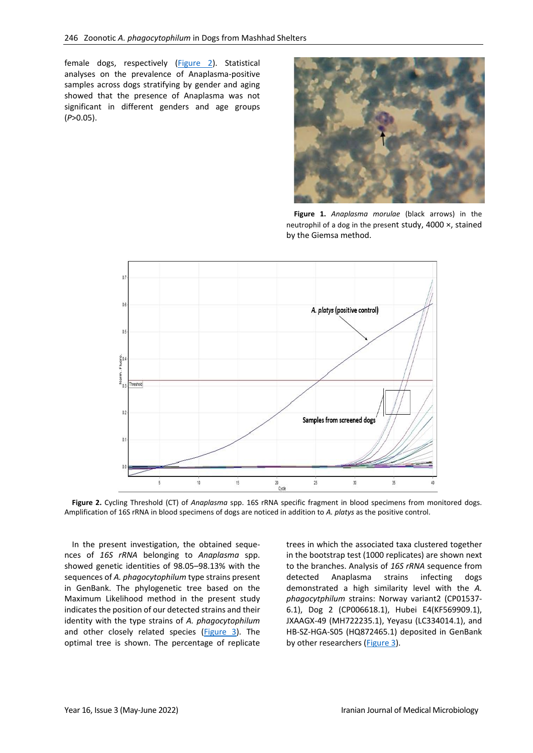female dogs, respectively [\(Figure 2\)](#page-2-1). Statistical analyses on the prevalence of Anaplasma-positive samples across dogs stratifying by gender and aging showed that the presence of Anaplasma was not significant in different genders and age groups (*P*>0.05).

<span id="page-2-0"></span>

**Figure 1.** *Anaplasma morulae* (black arrows) in the neutrophil of a dog in the present study, 4000 ×, stained by the Giemsa method.



<span id="page-2-1"></span>**Figure 2.** Cycling Threshold (CT) of *Anaplasma* spp. 16S rRNA specific fragment in blood specimens from monitored dogs. Amplification of 16S rRNA in blood specimens of dogs are noticed in addition to *A. platys* as the positive control.

In the present investigation, the obtained sequences of *16S rRNA* belonging to *Anaplasma* spp. showed genetic identities of 98.05–98.13% with the sequences of *A. phagocytophilum* type strains present in GenBank. The phylogenetic tree based on the Maximum Likelihood method in the present study indicates the position of our detected strains and their identity with the type strains of *A. phagocytophilum* and other closely related species [\(Figure 3\)](#page-3-0). The optimal tree is shown. The percentage of replicate trees in which the associated taxa clustered together in the bootstrap test (1000 replicates) are shown next to the branches. Analysis of *16S rRNA* sequence from detected Anaplasma strains infecting dogs demonstrated a high similarity level with the *A. phagocytphilum* strains: Norway variant2 (CP01537- 6.1), Dog 2 (CP006618.1), Hubei E4(KF569909.1), JXAAGX-49 (MH722235.1), Yeyasu (LC334014.1), and HB-SZ-HGA-S05 (HQ872465.1) deposited in GenBank by other researchers [\(Figure 3\)](#page-3-0).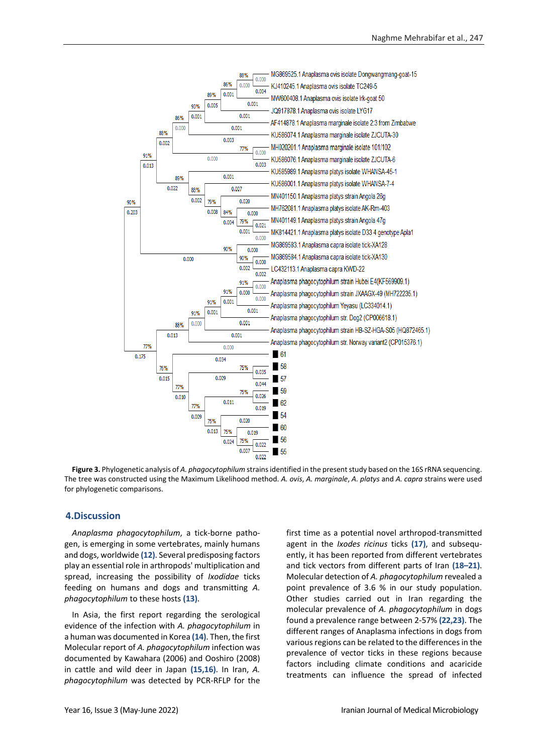

<span id="page-3-0"></span>**Figure 3.** Phylogenetic analysis of *A. phagocytophilum* strains identified in the present study based on the 16S rRNA sequencing. The tree was constructed using the Maximum Likelihood method. *A. ovis*, *A. marginale*, *A. platys* and *A. capra* strains were used for phylogenetic comparisons.

#### **4.Discussion**

*Anaplasma phagocytophilum*, a tick-borne pathogen, is emerging in some vertebrates, mainly humans and dogs, worldwide **(12)**. Several predisposing factors play an essential role in arthropods' multiplication and spread, increasing the possibility of *Ixodidae* ticks feeding on humans and dogs and transmitting *A. phagocytophilum* to these hosts **(13)**.

In Asia, the first report regarding the serological evidence of the infection with *A. phagocytophilum* in a human was documented in Korea **(14)**. Then, the first Molecular report of *A. phagocytophilum* infection was documented by Kawahara (2006) and Ooshiro (2008) in cattle and wild deer in Japan **(15,16)**. In Iran, *A. phagocytophilum* was detected by PCR-RFLP for the first time as a potential novel arthropod-transmitted agent in the *Ixodes ricinus* ticks **(17)**, and subsequently, it has been reported from different vertebrates and tick vectors from different parts of Iran **(18–21)**. Molecular detection of *A. phagocytophilum* revealed a point prevalence of 3.6 % in our study population. Other studies carried out in Iran regarding the molecular prevalence of *A. phagocytophilum* in dogs found a prevalence range between 2-57% **(22,23)**. The different ranges of Anaplasma infections in dogs from various regions can be related to the differences in the prevalence of vector ticks in these regions because factors including climate conditions and acaricide treatments can influence the spread of infected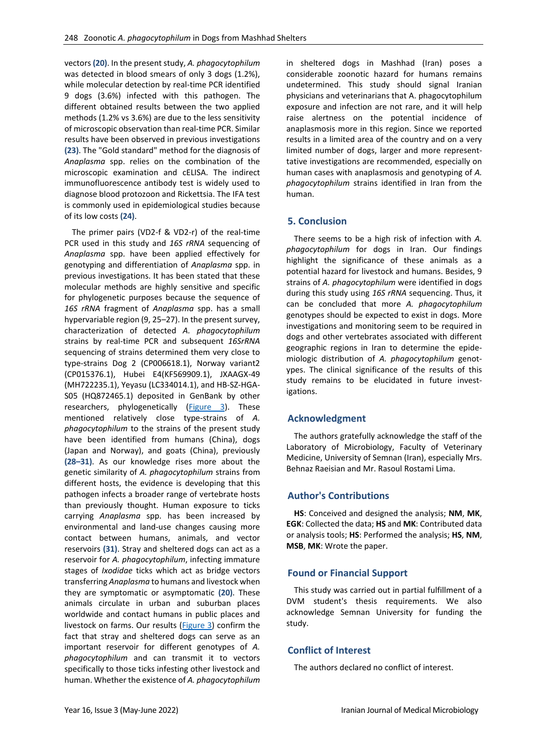vectors **(20)**. In the present study, *A. phagocytophilum* was detected in blood smears of only 3 dogs (1.2%), while molecular detection by real-time PCR identified 9 dogs (3.6%) infected with this pathogen. The different obtained results between the two applied methods (1.2% vs 3.6%) are due to the less sensitivity of microscopic observation than real-time PCR. Similar results have been observed in previous investigations **(23)**. The "Gold standard" method for the diagnosis of *Anaplasma* spp. relies on the combination of the microscopic examination and cELISA. The indirect immunofluorescence antibody test is widely used to diagnose blood protozoon and Rickettsia. The IFA test is commonly used in epidemiological studies because of its low costs **(24)**.

The primer pairs (VD2-f & VD2-r) of the real-time PCR used in this study and *16S rRNA* sequencing of *Anaplasma* spp. have been applied effectively for genotyping and differentiation of *Anaplasma* spp. in previous investigations. It has been stated that these molecular methods are highly sensitive and specific for phylogenetic purposes because the sequence of *16S rRNA* fragment of *Anaplasma* spp. has a small hypervariable region (9, 25–27). In the present survey, characterization of detected *A. phagocytophilum* strains by real-time PCR and subsequent *16SrRNA* sequencing of strains determined them very close to type-strains Dog 2 (CP006618.1), Norway variant2 (CP015376.1), Hubei E4(KF569909.1), JXAAGX-49 (MH722235.1), Yeyasu (LC334014.1), and HB-SZ-HGA-S05 (HQ872465.1) deposited in GenBank by other researchers, phylogenetically [\(Figure 3\)](#page-3-0). These mentioned relatively close type-strains of *A. phagocytophilum* to the strains of the present study have been identified from humans (China), dogs (Japan and Norway), and goats (China), previously **(28–31)**. As our knowledge rises more about the genetic similarity of *A. phagocytophilum* strains from different hosts, the evidence is developing that this pathogen infects a broader range of vertebrate hosts than previously thought. Human exposure to ticks carrying *Anaplasma* spp. has been increased by environmental and land-use changes causing more contact between humans, animals, and vector reservoirs **(31)**. Stray and sheltered dogs can act as a reservoir for *A. phagocytophilum*, infecting immature stages of *Ixodidae* ticks which act as bridge vectors transferring *Anaplasma* to humans and livestock when they are symptomatic or asymptomatic **(20)**. These animals circulate in urban and suburban places worldwide and contact humans in public places and livestock on farms. Our results [\(Figure 3\)](#page-3-0) confirm the fact that stray and sheltered dogs can serve as an important reservoir for different genotypes of *A. phagocytophilum* and can transmit it to vectors specifically to those ticks infesting other livestock and human. Whether the existence of *A. phagocytophilum* 

in sheltered dogs in Mashhad (Iran) poses a considerable zoonotic hazard for humans remains undetermined. This study should signal Iranian physicians and veterinarians that A. phagocytophilum exposure and infection are not rare, and it will help raise alertness on the potential incidence of anaplasmosis more in this region. Since we reported results in a limited area of the country and on a very limited number of dogs, larger and more representtative investigations are recommended, especially on human cases with anaplasmosis and genotyping of *A. phagocytophilum* strains identified in Iran from the human.

### **5. Conclusion**

There seems to be a high risk of infection with *A. phagocytophilum* for dogs in Iran. Our findings highlight the significance of these animals as a potential hazard for livestock and humans. Besides, 9 strains of *A. phagocytophilum* were identified in dogs during this study using *16S rRNA* sequencing. Thus, it can be concluded that more *A. phagocytophilum*  genotypes should be expected to exist in dogs. More investigations and monitoring seem to be required in dogs and other vertebrates associated with different geographic regions in Iran to determine the epidemiologic distribution of *A. phagocytophilum* genotypes. The clinical significance of the results of this study remains to be elucidated in future investigations.

# **Acknowledgment**

The authors gratefully acknowledge the staff of the Laboratory of Microbiology, Faculty of Veterinary Medicine, University of Semnan (Iran), especially Mrs. Behnaz Raeisian and Mr. Rasoul Rostami Lima.

# **Author's Contributions**

**HS**: Conceived and designed the analysis; **NM**, **MK**, **EGK**: Collected the data; **HS** and **MK**: Contributed data or analysis tools; **HS**: Performed the analysis; **HS**, **NM**, **MSB**, **MK**: Wrote the paper.

### **Found or Financial Support**

This study was carried out in partial fulfillment of a DVM student's thesis requirements. We also acknowledge Semnan University for funding the study.

### **Conflict of Interest**

The authors declared no conflict of interest.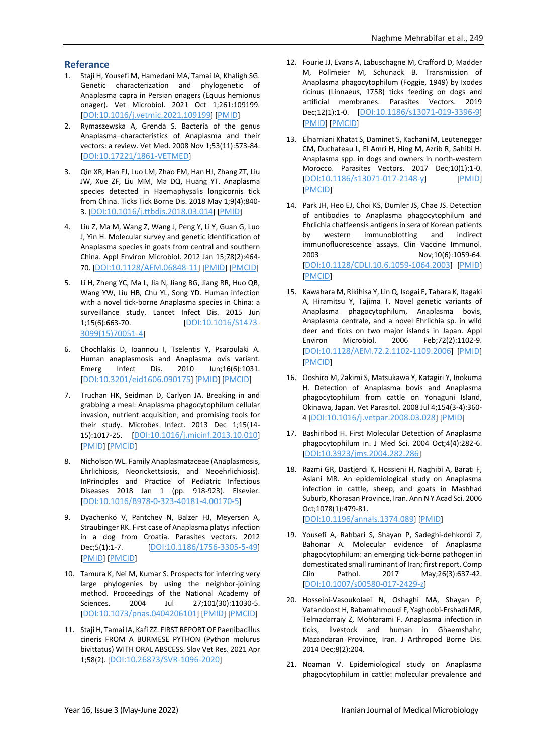### **Referance**

- 1. Staji H, Yousefi M, Hamedani MA, Tamai IA, Khaligh SG. Genetic characterization and phylogenetic of Anaplasma capra in Persian onagers (Equus hemionus onager). Vet Microbiol. 2021 Oct 1;261:109199. [[DOI:10.1016/j.vetmic.2021.109199](https://doi.org/10.1016/j.vetmic.2021.109199)] [[PMID](https://www.ncbi.nlm.nih.gov/pubmed/34385006)]
- 2. Rymaszewska A, Grenda S. Bacteria of the genus Anaplasma–characteristics of Anaplasma and their vectors: a review. Vet Med. 2008 Nov 1;53(11):573-84. [[DOI:10.17221/1861-VETMED](https://doi.org/10.17221/1861-VETMED)]
- 3. Qin XR, Han FJ, Luo LM, Zhao FM, Han HJ, Zhang ZT, Liu JW, Xue ZF, Liu MM, Ma DQ, Huang YT. Anaplasma species detected in Haemaphysalis longicornis tick from China. Ticks Tick Borne Dis. 2018 May 1;9(4):840- 3. [[DOI:10.1016/j.ttbdis.2018.03.014](https://doi.org/10.1016/j.ttbdis.2018.03.014)] [[PMID](https://www.ncbi.nlm.nih.gov/pubmed/29567147)]
- 4. Liu Z, Ma M, Wang Z, Wang J, Peng Y, Li Y, Guan G, Luo J, Yin H. Molecular survey and genetic identification of Anaplasma species in goats from central and southern China. Appl Environ Microbiol. 2012 Jan 15;78(2):464- 70. [[DOI:10.1128/AEM.06848-11](https://doi.org/10.1128/AEM.06848-11)] [[PMID](https://www.ncbi.nlm.nih.gov/pubmed/22057867)] [[PMCID](http://www.ncbi.nlm.nih.gov/pmc/articles/PMC3255723)]
- 5. Li H, Zheng YC, Ma L, Jia N, Jiang BG, Jiang RR, Huo QB, Wang YW, Liu HB, Chu YL, Song YD. Human infection with a novel tick-borne Anaplasma species in China: a surveillance study. Lancet Infect Dis. 2015 Jun 1;15(6):663-70. [[DOI:10.1016/S1473-](https://doi.org/10.1016/S1473-3099(15)70051-4) [3099\(15\)70051-4](https://doi.org/10.1016/S1473-3099(15)70051-4)]
- 6. Chochlakis D, Ioannou I, Tselentis Y, Psaroulaki A. Human anaplasmosis and Anaplasma ovis variant. Emerg Infect Dis. 2010 Jun;16(6):1031. [[DOI:10.3201/eid1606.090175](https://doi.org/10.3201/eid1606.090175)] [[PMID](https://www.ncbi.nlm.nih.gov/pubmed/20507768)] [[PMCID](http://www.ncbi.nlm.nih.gov/pmc/articles/PMC3086243)]
- 7. Truchan HK, Seidman D, Carlyon JA. Breaking in and grabbing a meal: Anaplasma phagocytophilum cellular invasion, nutrient acquisition, and promising tools for their study. Microbes Infect. 2013 Dec 1;15(14- 15):1017-25. [[DOI:10.1016/j.micinf.2013.10.010](https://doi.org/10.1016/j.micinf.2013.10.010)] [[PMID](https://www.ncbi.nlm.nih.gov/pubmed/24141091)] [[PMCID](http://www.ncbi.nlm.nih.gov/pmc/articles/PMC3894830)]
- 8. Nicholson WL. Family Anaplasmataceae (Anaplasmosis, Ehrlichiosis, Neorickettsiosis, and Neoehrlichiosis). InPrinciples and Practice of Pediatric Infectious Diseases 2018 Jan 1 (pp. 918-923). Elsevier. [[DOI:10.1016/B978-0-323-40181-4.00170-5](https://doi.org/10.1016/B978-0-323-40181-4.00170-5)]
- 9. Dyachenko V, Pantchev N, Balzer HJ, Meyersen A, Straubinger RK. First case of Anaplasma platys infection in a dog from Croatia. Parasites vectors. 2012 Dec;5(1):1-7. [[DOI:10.1186/1756-3305-5-49](https://doi.org/10.1186/1756-3305-5-49)] [[PMID](https://www.ncbi.nlm.nih.gov/pubmed/22401583)] [[PMCID](http://www.ncbi.nlm.nih.gov/pmc/articles/PMC3315729)]
- 10. Tamura K, Nei M, Kumar S. Prospects for inferring very large phylogenies by using the neighbor-joining method. Proceedings of the National Academy of Sciences. 2004 Jul 27;101(30):11030-5. [[DOI:10.1073/pnas.0404206101](https://doi.org/10.1073/pnas.0404206101)] [[PMID](https://www.ncbi.nlm.nih.gov/pubmed/15258291)] [[PMCID](http://www.ncbi.nlm.nih.gov/pmc/articles/PMC491989)]
- 11. Staji H, Tamai IA, Kafi ZZ. FIRST REPORT OF Paenibacillus cineris FROM A BURMESE PYTHON (Python molurus bivittatus) WITH ORAL ABSCESS. Slov Vet Res. 2021 Apr 1;58(2). [[DOI:10.26873/SVR-1096-2020](https://doi.org/10.26873/SVR-1096-2020)]
- 12. Fourie JJ, Evans A, Labuschagne M, Crafford D, Madder M, Pollmeier M, Schunack B. Transmission of Anaplasma phagocytophilum (Foggie, 1949) by Ixodes ricinus (Linnaeus, 1758) ticks feeding on dogs and artificial membranes. Parasites Vectors. 2019 Dec;12(1):1-0. [[DOI:10.1186/s13071-019-3396-9](https://doi.org/10.1186/s13071-019-3396-9)] [[PMID](https://www.ncbi.nlm.nih.gov/pubmed/30909972)] [[PMCID](http://www.ncbi.nlm.nih.gov/pmc/articles/PMC6434881)]
- 13. Elhamiani Khatat S, Daminet S, Kachani M, Leutenegger CM, Duchateau L, El Amri H, Hing M, Azrib R, Sahibi H. Anaplasma spp. in dogs and owners in north-western Morocco. Parasites Vectors. 2017 Dec;10(1):1-0. [[DOI:10.1186/s13071-017-2148-y](https://doi.org/10.1186/s13071-017-2148-y)] [[PMID](https://www.ncbi.nlm.nih.gov/pubmed/28438220)] [[PMCID](http://www.ncbi.nlm.nih.gov/pmc/articles/PMC5404288)]
- 14. Park JH, Heo EJ, Choi KS, Dumler JS, Chae JS. Detection of antibodies to Anaplasma phagocytophilum and Ehrlichia chaffeensis antigens in sera of Korean patients by western immunoblotting and indirect immunofluorescence assays. Clin Vaccine Immunol. 2003 Nov;10(6):1059-64. [[DOI:10.1128/CDLI.10.6.1059-1064.2003](https://doi.org/10.1128/CDLI.10.6.1059-1064.2003)] [[PMID](https://www.ncbi.nlm.nih.gov/pubmed/14607867)] [[PMCID](http://www.ncbi.nlm.nih.gov/pmc/articles/PMC262439)]
- 15. Kawahara M, Rikihisa Y, Lin Q, Isogai E, Tahara K, Itagaki A, Hiramitsu Y, Tajima T. Novel genetic variants of Anaplasma phagocytophilum, Anaplasma bovis, Anaplasma centrale, and a novel Ehrlichia sp. in wild deer and ticks on two major islands in Japan. Appl Environ Microbiol. 2006 Feb;72(2):1102-9. [[DOI:10.1128/AEM.72.2.1102-1109.2006](https://doi.org/10.1128/AEM.72.2.1102-1109.2006)] [[PMID](https://www.ncbi.nlm.nih.gov/pubmed/16461655)] [[PMCID](http://www.ncbi.nlm.nih.gov/pmc/articles/PMC1392898)]
- 16. Ooshiro M, Zakimi S, Matsukawa Y, Katagiri Y, Inokuma H. Detection of Anaplasma bovis and Anaplasma phagocytophilum from cattle on Yonaguni Island, Okinawa, Japan. Vet Parasitol. 2008 Jul 4;154(3-4):360- 4 [[DOI:10.1016/j.vetpar.2008.03.028](https://doi.org/10.1016/j.vetpar.2008.03.028)] [[PMID](https://www.ncbi.nlm.nih.gov/pubmed/18468796)]
- 17. Bashiribod H. First Molecular Detection of Anaplasma phagocytophilum in. J Med Sci. 2004 Oct;4(4):282-6. [[DOI:10.3923/jms.2004.282.286](https://doi.org/10.3923/jms.2004.282.286)]
- 18. Razmi GR, Dastjerdi K, Hossieni H, Naghibi A, Barati F, Aslani MR. An epidemiological study on Anaplasma infection in cattle, sheep, and goats in Mashhad Suburb, Khorasan Province, Iran. Ann N Y Acad Sci. 2006 Oct;1078(1):479-81.

[[DOI:10.1196/annals.1374.089](https://doi.org/10.1196/annals.1374.089)] [[PMID](https://www.ncbi.nlm.nih.gov/pubmed/17114758)]

- 19. Yousefi A, Rahbari S, Shayan P, Sadeghi-dehkordi Z, Bahonar A. Molecular evidence of Anaplasma phagocytophilum: an emerging tick-borne pathogen in domesticated small ruminant of Iran; first report. Comp Clin Pathol. 2017 May;26(3):637-42. [[DOI:10.1007/s00580-017-2429-z](https://doi.org/10.1007/s00580-017-2429-z)]
- 20. Hosseini-Vasoukolaei N, Oshaghi MA, Shayan P, Vatandoost H, Babamahmoudi F, Yaghoobi-Ershadi MR, Telmadarraiy Z, Mohtarami F. Anaplasma infection in ticks, livestock and human in Ghaemshahr, Mazandaran Province, Iran. J Arthropod Borne Dis. 2014 Dec;8(2):204.
- 21. Noaman V. Epidemiological study on Anaplasma phagocytophilum in cattle: molecular prevalence and